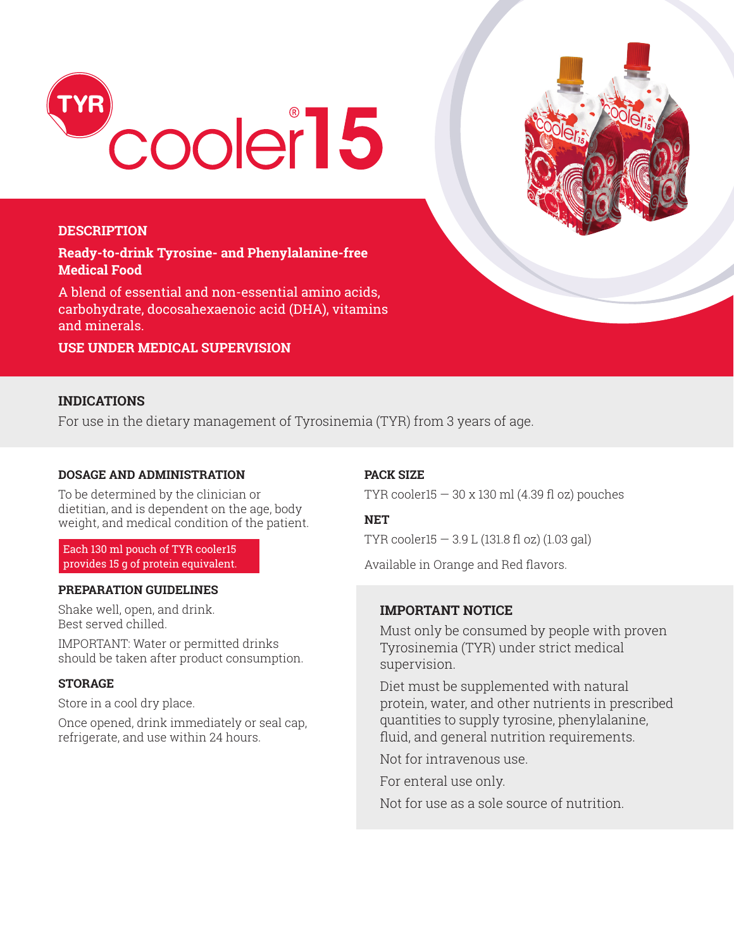

#### **DESCRIPTION**

**Ready-to-drink Tyrosine- and Phenylalanine-free Medical Food** 

A blend of essential and non-essential amino acids, carbohydrate, docosahexaenoic acid (DHA), vitamins and minerals.

**USE UNDER MEDICAL SUPERVISION**

# **INDICATIONS**

For use in the dietary management of Tyrosinemia (TYR) from 3 years of age.

## **DOSAGE AND ADMINISTRATION**

To be determined by the clinician or dietitian, and is dependent on the age, body weight, and medical condition of the patient.

Each 130 ml pouch of TYR cooler15 provides 15 g of protein equivalent.

#### **PREPARATION GUIDELINES**

Shake well, open, and drink. Best served chilled.

IMPORTANT: Water or permitted drinks should be taken after product consumption.

#### **STORAGE**

Store in a cool dry place.

Once opened, drink immediately or seal cap, refrigerate, and use within 24 hours.

#### **PACK SIZE**

TYR cooler15  $-$  30 x 130 ml (4.39 fl oz) pouches

#### **NET**

TYR cooler15 — 3.9 L (131.8 fl oz) (1.03 gal)

Available in Orange and Red flavors.

#### **IMPORTANT NOTICE**

Must only be consumed by people with proven Tyrosinemia (TYR) under strict medical supervision.

Diet must be supplemented with natural protein, water, and other nutrients in prescribed quantities to supply tyrosine, phenylalanine, fluid, and general nutrition requirements.

Not for intravenous use.

For enteral use only.

Not for use as a sole source of nutrition.